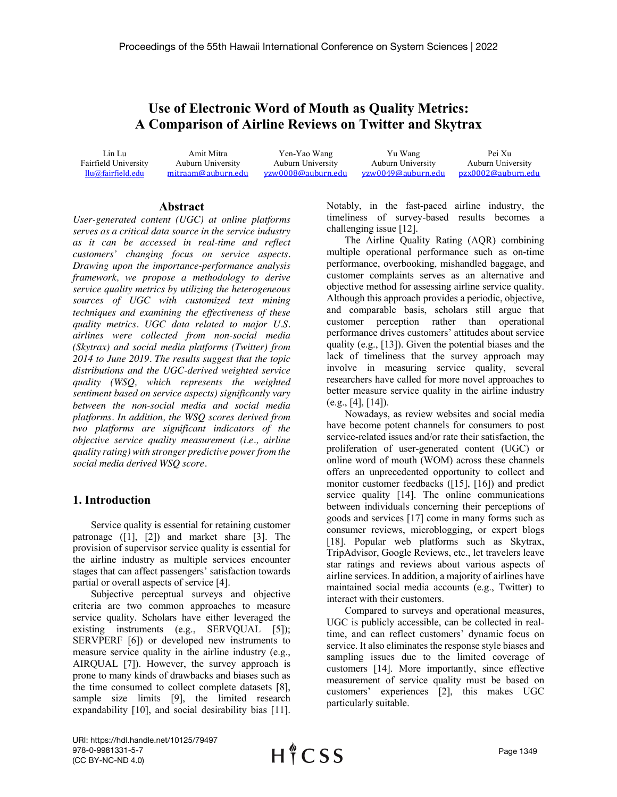## **Use of Electronic Word of Mouth as Quality Metrics: A Comparison of Airline Reviews on Twitter and Skytrax**

Lin Lu Fairfield University llu@fairfield.edu

Amit Mitra Auburn University mitraam@auburn.edu

Yen-Yao Wang Auburn University yzw0008@auburn.edu

Yu Wang Auburn University yzw0049@auburn.edu

Pei Xu Auburn University pzx0002@auburn.edu

## **Abstract**

*User-generated content (UGC) at online platforms serves as a critical data source in the service industry as it can be accessed in real-time and reflect customers' changing focus on service aspects. Drawing upon the importance-performance analysis framework, we propose a methodology to derive service quality metrics by utilizing the heterogeneous sources of UGC with customized text mining techniques and examining the effectiveness of these quality metrics. UGC data related to major U.S. airlines were collected from non-social media (Skytrax) and social media platforms (Twitter) from 2014 to June 2019. The results suggest that the topic distributions and the UGC-derived weighted service quality (WSQ, which represents the weighted sentiment based on service aspects) significantly vary between the non-social media and social media platforms. In addition, the WSQ scores derived from two platforms are significant indicators of the objective service quality measurement (i.e., airline quality rating) with stronger predictive power from the social media derived WSQ score.* 

## **1. Introduction**

Service quality is essential for retaining customer patronage ([1], [2]) and market share [3]. The provision of supervisor service quality is essential for the airline industry as multiple services encounter stages that can affect passengers' satisfaction towards partial or overall aspects of service [4].

Subjective perceptual surveys and objective criteria are two common approaches to measure service quality. Scholars have either leveraged the existing instruments (e.g., SERVQUAL [5]); SERVPERF [6]) or developed new instruments to measure service quality in the airline industry (e.g., AIRQUAL [7]). However, the survey approach is prone to many kinds of drawbacks and biases such as the time consumed to collect complete datasets [8], sample size limits [9], the limited research expandability [10], and social desirability bias [11].

Notably, in the fast-paced airline industry, the timeliness of survey-based results becomes a challenging issue [12].

The Airline Quality Rating (AQR) combining multiple operational performance such as on-time performance, overbooking, mishandled baggage, and customer complaints serves as an alternative and objective method for assessing airline service quality. Although this approach provides a periodic, objective, and comparable basis, scholars still argue that customer perception rather than operational performance drives customers' attitudes about service quality (e.g., [13]). Given the potential biases and the lack of timeliness that the survey approach may involve in measuring service quality, several researchers have called for more novel approaches to better measure service quality in the airline industry (e.g., [4], [14]).

Nowadays, as review websites and social media have become potent channels for consumers to post service-related issues and/or rate their satisfaction, the proliferation of user-generated content (UGC) or online word of mouth (WOM) across these channels offers an unprecedented opportunity to collect and monitor customer feedbacks ([15], [16]) and predict service quality [14]. The online communications between individuals concerning their perceptions of goods and services [17] come in many forms such as consumer reviews, microblogging, or expert blogs [18]. Popular web platforms such as Skytrax, TripAdvisor, Google Reviews, etc., let travelers leave star ratings and reviews about various aspects of airline services. In addition, a majority of airlines have maintained social media accounts (e.g., Twitter) to interact with their customers.

Compared to surveys and operational measures, UGC is publicly accessible, can be collected in realtime, and can reflect customers' dynamic focus on service. It also eliminates the response style biases and sampling issues due to the limited coverage of customers [14]. More importantly, since effective measurement of service quality must be based on customers' experiences [2], this makes UGC particularly suitable.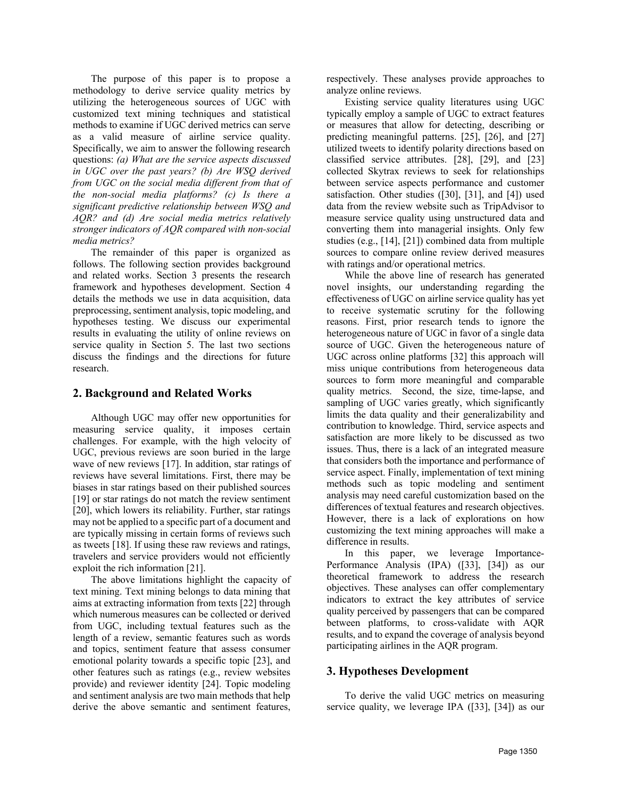The purpose of this paper is to propose a methodology to derive service quality metrics by utilizing the heterogeneous sources of UGC with customized text mining techniques and statistical methods to examine if UGC derived metrics can serve as a valid measure of airline service quality. Specifically, we aim to answer the following research questions: *(a) What are the service aspects discussed in UGC over the past years? (b) Are WSQ derived from UGC on the social media different from that of the non-social media platforms? (c) Is there a significant predictive relationship between WSQ and AQR? and (d) Are social media metrics relatively stronger indicators of AQR compared with non-social media metrics?*

The remainder of this paper is organized as follows. The following section provides background and related works. Section 3 presents the research framework and hypotheses development. Section 4 details the methods we use in data acquisition, data preprocessing, sentiment analysis, topic modeling, and hypotheses testing. We discuss our experimental results in evaluating the utility of online reviews on service quality in Section 5. The last two sections discuss the findings and the directions for future research.

## **2. Background and Related Works**

Although UGC may offer new opportunities for measuring service quality, it imposes certain challenges. For example, with the high velocity of UGC, previous reviews are soon buried in the large wave of new reviews [17]. In addition, star ratings of reviews have several limitations. First, there may be biases in star ratings based on their published sources [19] or star ratings do not match the review sentiment [20], which lowers its reliability. Further, star ratings may not be applied to a specific part of a document and are typically missing in certain forms of reviews such as tweets [18]. If using these raw reviews and ratings, travelers and service providers would not efficiently exploit the rich information [21].

The above limitations highlight the capacity of text mining. Text mining belongs to data mining that aims at extracting information from texts [22] through which numerous measures can be collected or derived from UGC, including textual features such as the length of a review, semantic features such as words and topics, sentiment feature that assess consumer emotional polarity towards a specific topic [23], and other features such as ratings (e.g., review websites provide) and reviewer identity [24]. Topic modeling and sentiment analysis are two main methods that help derive the above semantic and sentiment features,

respectively. These analyses provide approaches to analyze online reviews.

Existing service quality literatures using UGC typically employ a sample of UGC to extract features or measures that allow for detecting, describing or predicting meaningful patterns. [25], [26], and [27] utilized tweets to identify polarity directions based on classified service attributes. [28], [29], and [23] collected Skytrax reviews to seek for relationships between service aspects performance and customer satisfaction. Other studies ([30], [31], and [4]) used data from the review website such as TripAdvisor to measure service quality using unstructured data and converting them into managerial insights. Only few studies (e.g., [14], [21]) combined data from multiple sources to compare online review derived measures with ratings and/or operational metrics.

While the above line of research has generated novel insights, our understanding regarding the effectiveness of UGC on airline service quality has yet to receive systematic scrutiny for the following reasons. First, prior research tends to ignore the heterogeneous nature of UGC in favor of a single data source of UGC. Given the heterogeneous nature of UGC across online platforms [32] this approach will miss unique contributions from heterogeneous data sources to form more meaningful and comparable quality metrics. Second, the size, time-lapse, and sampling of UGC varies greatly, which significantly limits the data quality and their generalizability and contribution to knowledge. Third, service aspects and satisfaction are more likely to be discussed as two issues. Thus, there is a lack of an integrated measure that considers both the importance and performance of service aspect. Finally, implementation of text mining methods such as topic modeling and sentiment analysis may need careful customization based on the differences of textual features and research objectives. However, there is a lack of explorations on how customizing the text mining approaches will make a difference in results.

In this paper, we leverage Importance-Performance Analysis (IPA) ([33], [34]) as our theoretical framework to address the research objectives. These analyses can offer complementary indicators to extract the key attributes of service quality perceived by passengers that can be compared between platforms, to cross-validate with AQR results, and to expand the coverage of analysis beyond participating airlines in the AQR program.

## **3. Hypotheses Development**

To derive the valid UGC metrics on measuring service quality, we leverage IPA ([33], [34]) as our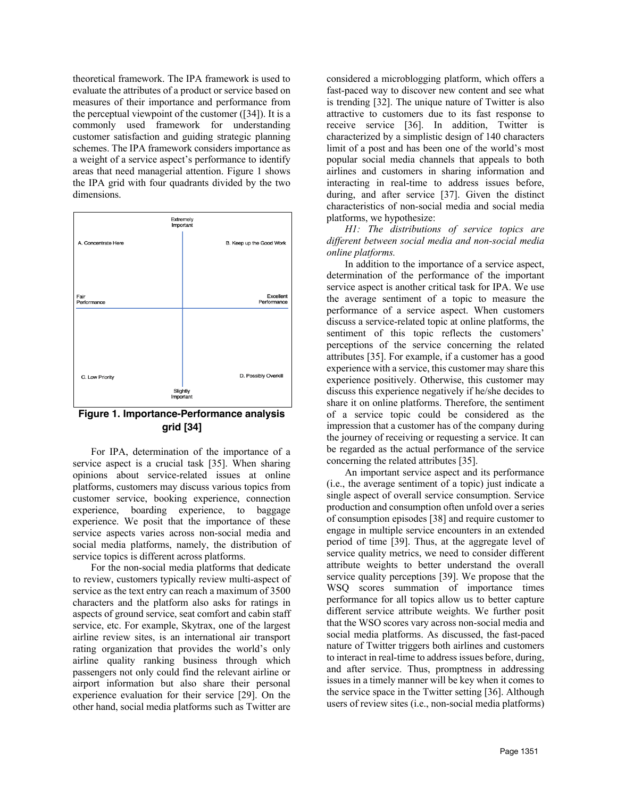theoretical framework. The IPA framework is used to evaluate the attributes of a product or service based on measures of their importance and performance from the perceptual viewpoint of the customer ([34]). It is a commonly used framework for understanding customer satisfaction and guiding strategic planning schemes. The IPA framework considers importance as a weight of a service aspect's performance to identify areas that need managerial attention. Figure 1 shows the IPA grid with four quadrants divided by the two dimensions.



**Figure 1. Importance-Performance analysis grid [34]**

For IPA, determination of the importance of a service aspect is a crucial task [35]. When sharing opinions about service-related issues at online platforms, customers may discuss various topics from customer service, booking experience, connection experience, boarding experience, to baggage experience. We posit that the importance of these service aspects varies across non-social media and social media platforms, namely, the distribution of service topics is different across platforms.

For the non-social media platforms that dedicate to review, customers typically review multi-aspect of service as the text entry can reach a maximum of 3500 characters and the platform also asks for ratings in aspects of ground service, seat comfort and cabin staff service, etc. For example, Skytrax, one of the largest airline review sites, is an international air transport rating organization that provides the world's only airline quality ranking business through which passengers not only could find the relevant airline or airport information but also share their personal experience evaluation for their service [29]. On the other hand, social media platforms such as Twitter are

considered a microblogging platform, which offers a fast-paced way to discover new content and see what is trending [32]. The unique nature of Twitter is also attractive to customers due to its fast response to receive service [36]. In addition, Twitter is characterized by a simplistic design of 140 characters limit of a post and has been one of the world's most popular social media channels that appeals to both airlines and customers in sharing information and interacting in real-time to address issues before, during, and after service [37]. Given the distinct characteristics of non-social media and social media platforms, we hypothesize:

*H1: The distributions of service topics are different between social media and non-social media online platforms.*

In addition to the importance of a service aspect, determination of the performance of the important service aspect is another critical task for IPA. We use the average sentiment of a topic to measure the performance of a service aspect. When customers discuss a service-related topic at online platforms, the sentiment of this topic reflects the customers' perceptions of the service concerning the related attributes [35]. For example, if a customer has a good experience with a service, this customer may share this experience positively. Otherwise, this customer may discuss this experience negatively if he/she decides to share it on online platforms. Therefore, the sentiment of a service topic could be considered as the impression that a customer has of the company during the journey of receiving or requesting a service. It can be regarded as the actual performance of the service concerning the related attributes [35].

An important service aspect and its performance (i.e., the average sentiment of a topic) just indicate a single aspect of overall service consumption. Service production and consumption often unfold over a series of consumption episodes [38] and require customer to engage in multiple service encounters in an extended period of time [39]. Thus, at the aggregate level of service quality metrics, we need to consider different attribute weights to better understand the overall service quality perceptions [39]. We propose that the WSQ scores summation of importance times performance for all topics allow us to better capture different service attribute weights. We further posit that the WSO scores vary across non-social media and social media platforms. As discussed, the fast-paced nature of Twitter triggers both airlines and customers to interact in real-time to address issues before, during, and after service. Thus, promptness in addressing issues in a timely manner will be key when it comes to the service space in the Twitter setting [36]. Although users of review sites (i.e., non-social media platforms)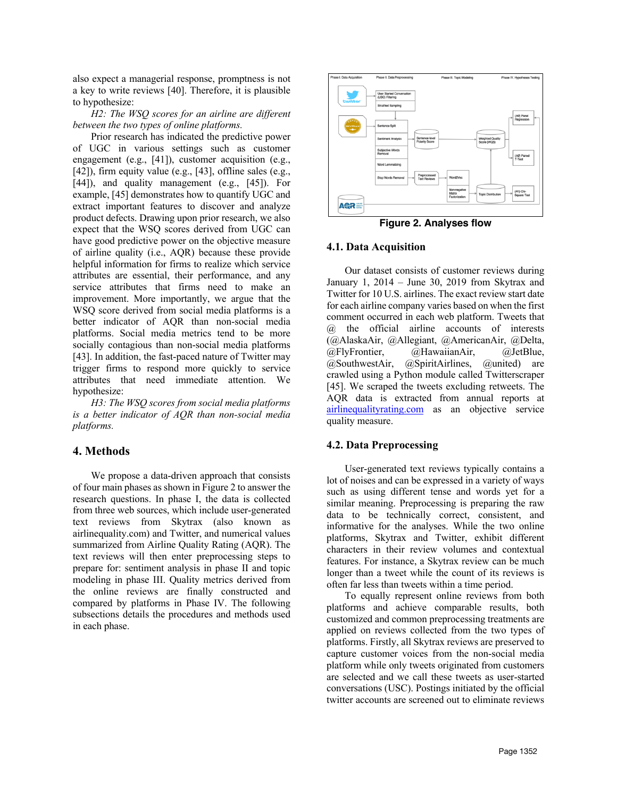also expect a managerial response, promptness is not a key to write reviews [40]. Therefore, it is plausible to hypothesize:

*H2: The WSQ scores for an airline are different between the two types of online platforms.*

Prior research has indicated the predictive power of UGC in various settings such as customer engagement (e.g., [41]), customer acquisition (e.g., [42]), firm equity value (e.g., [43], offline sales (e.g., [44]), and quality management (e.g., [45]). For example, [45] demonstrates how to quantify UGC and extract important features to discover and analyze product defects. Drawing upon prior research, we also expect that the WSQ scores derived from UGC can have good predictive power on the objective measure of airline quality (i.e., AQR) because these provide helpful information for firms to realize which service attributes are essential, their performance, and any service attributes that firms need to make an improvement. More importantly, we argue that the WSQ score derived from social media platforms is a better indicator of AQR than non-social media platforms. Social media metrics tend to be more socially contagious than non-social media platforms [43]. In addition, the fast-paced nature of Twitter may trigger firms to respond more quickly to service attributes that need immediate attention. We hypothesize:

*H3: The WSQ scores from social media platforms is a better indicator of AQR than non-social media platforms.*

## **4. Methods**

We propose a data-driven approach that consists of four main phases as shown in Figure 2 to answer the research questions. In phase I, the data is collected from three web sources, which include user-generated text reviews from Skytrax (also known as airlinequality.com) and Twitter, and numerical values summarized from Airline Quality Rating (AQR). The text reviews will then enter preprocessing steps to prepare for: sentiment analysis in phase II and topic modeling in phase III. Quality metrics derived from the online reviews are finally constructed and compared by platforms in Phase IV. The following subsections details the procedures and methods used in each phase.



**Figure 2. Analyses flow**

## **4.1. Data Acquisition**

Our dataset consists of customer reviews during January 1, 2014 – June 30, 2019 from Skytrax and Twitter for 10 U.S. airlines. The exact review start date for each airline company varies based on when the first comment occurred in each web platform. Tweets that @ the official airline accounts of interests (@AlaskaAir, @Allegiant, @AmericanAir, @Delta, @FlyFrontier, @HawaiianAir, @JetBlue, @SouthwestAir, @SpiritAirlines, @united) are crawled using a Python module called Twitterscraper [45]. We scraped the tweets excluding retweets. The AQR data is extracted from annual reports at airlinequalityrating.com as an objective service quality measure.

## **4.2. Data Preprocessing**

User-generated text reviews typically contains a lot of noises and can be expressed in a variety of ways such as using different tense and words yet for a similar meaning. Preprocessing is preparing the raw data to be technically correct, consistent, and informative for the analyses. While the two online platforms, Skytrax and Twitter, exhibit different characters in their review volumes and contextual features. For instance, a Skytrax review can be much longer than a tweet while the count of its reviews is often far less than tweets within a time period.

To equally represent online reviews from both platforms and achieve comparable results, both customized and common preprocessing treatments are applied on reviews collected from the two types of platforms. Firstly, all Skytrax reviews are preserved to capture customer voices from the non-social media platform while only tweets originated from customers are selected and we call these tweets as user-started conversations (USC). Postings initiated by the official twitter accounts are screened out to eliminate reviews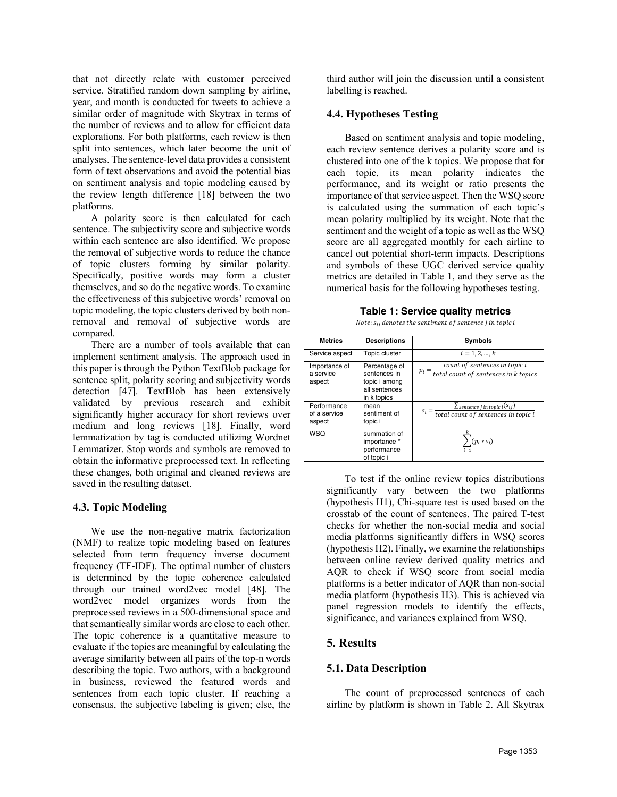that not directly relate with customer perceived service. Stratified random down sampling by airline, year, and month is conducted for tweets to achieve a similar order of magnitude with Skytrax in terms of the number of reviews and to allow for efficient data explorations. For both platforms, each review is then split into sentences, which later become the unit of analyses. The sentence-level data provides a consistent form of text observations and avoid the potential bias on sentiment analysis and topic modeling caused by the review length difference [18] between the two platforms.

A polarity score is then calculated for each sentence. The subjectivity score and subjective words within each sentence are also identified. We propose the removal of subjective words to reduce the chance of topic clusters forming by similar polarity. Specifically, positive words may form a cluster themselves, and so do the negative words. To examine the effectiveness of this subjective words' removal on topic modeling, the topic clusters derived by both nonremoval and removal of subjective words are compared.

There are a number of tools available that can implement sentiment analysis. The approach used in this paper is through the Python TextBlob package for sentence split, polarity scoring and subjectivity words detection [47]. TextBlob has been extensively validated by previous research and exhibit significantly higher accuracy for short reviews over medium and long reviews [18]. Finally, word lemmatization by tag is conducted utilizing Wordnet Lemmatizer. Stop words and symbols are removed to obtain the informative preprocessed text. In reflecting these changes, both original and cleaned reviews are saved in the resulting dataset.

## **4.3. Topic Modeling**

We use the non-negative matrix factorization (NMF) to realize topic modeling based on features selected from term frequency inverse document frequency (TF-IDF). The optimal number of clusters is determined by the topic coherence calculated through our trained word2vec model [48]. The word2vec model organizes words from the preprocessed reviews in a 500-dimensional space and that semantically similar words are close to each other. The topic coherence is a quantitative measure to evaluate if the topics are meaningful by calculating the average similarity between all pairs of the top-n words describing the topic. Two authors, with a background in business, reviewed the featured words and sentences from each topic cluster. If reaching a consensus, the subjective labeling is given; else, the

third author will join the discussion until a consistent labelling is reached.

#### **4.4. Hypotheses Testing**

Based on sentiment analysis and topic modeling, each review sentence derives a polarity score and is clustered into one of the k topics. We propose that for each topic, its mean polarity indicates the performance, and its weight or ratio presents the importance of that service aspect. Then the WSQ score is calculated using the summation of each topic's mean polarity multiplied by its weight. Note that the sentiment and the weight of a topic as well as the WSQ score are all aggregated monthly for each airline to cancel out potential short-term impacts. Descriptions and symbols of these UGC derived service quality metrics are detailed in Table 1, and they serve as the numerical basis for the following hypotheses testing.

| <b>Metrics</b>                        | <b>Descriptions</b>                                                            | <b>Symbols</b>                                                                                           |
|---------------------------------------|--------------------------------------------------------------------------------|----------------------------------------------------------------------------------------------------------|
| Service aspect                        | Topic cluster                                                                  | $i = 1, 2, , k$                                                                                          |
| Importance of<br>a service<br>aspect  | Percentage of<br>sentences in<br>topic i among<br>all sentences<br>in k topics | count of sentences in topic i<br>$p_i$<br>$-\frac{1}{total\ count\ of\ sentences\ in\ k\ topics}$        |
| Performance<br>of a service<br>aspect | mean<br>sentiment of<br>topic i                                                | $\Sigma$ sentence j in topic i $(s_{ij})$<br>$s_i = \frac{1}{total\ count\ of\ sentences\ in\ topic\ i}$ |
| WSQ                                   | summation of<br>importance *<br>performance<br>of topic i                      | $\sum_{i} (p_i * s_i)$                                                                                   |

**Table 1: Service quality metrics**

Note:  $s_{ij}$  denotes the sentiment of sentence j in topic i

To test if the online review topics distributions significantly vary between the two platforms (hypothesis H1), Chi-square test is used based on the crosstab of the count of sentences. The paired T-test checks for whether the non-social media and social media platforms significantly differs in WSQ scores (hypothesis H2). Finally, we examine the relationships between online review derived quality metrics and AQR to check if WSQ score from social media platforms is a better indicator of AQR than non-social media platform (hypothesis H3). This is achieved via panel regression models to identify the effects, significance, and variances explained from WSQ.

## **5. Results**

## **5.1. Data Description**

The count of preprocessed sentences of each airline by platform is shown in Table 2. All Skytrax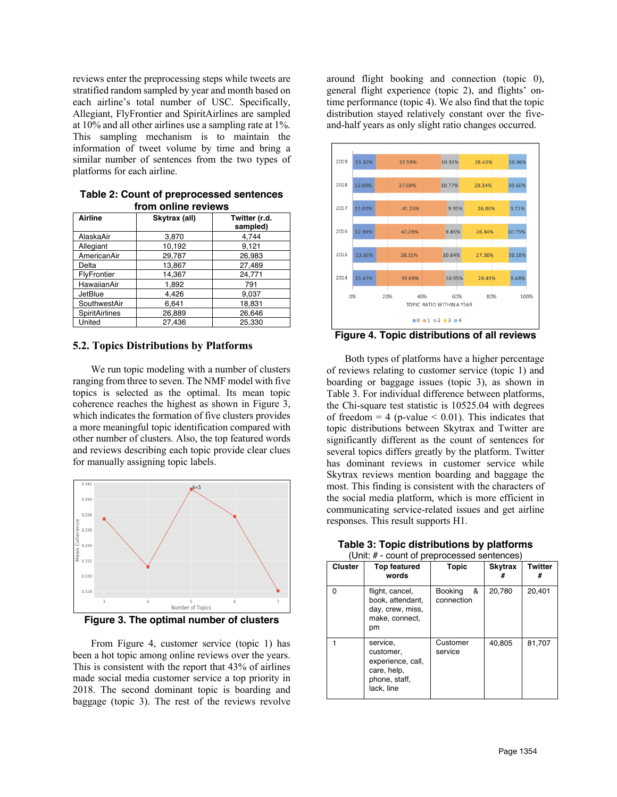reviews enter the preprocessing steps while tweets are stratified random sampled by year and month based on each airline's total number of USC. Specifically, Allegiant, FlyFrontier and SpiritAirlines are sampled at 10% and all other airlines use a sampling rate at 1%. This sampling mechanism is to maintain the information of tweet volume by time and bring a similar number of sentences from the two types of platforms for each airline.

| Table 2: Count of preprocessed sentences |
|------------------------------------------|
| from online reviews                      |

| Airline        | Skytrax (all) | Twitter (r.d.<br>sampled) |
|----------------|---------------|---------------------------|
| AlaskaAir      | 3,870         | 4,744                     |
| Allegiant      | 10,192        | 9,121                     |
| AmericanAir    | 29,787        | 26,983                    |
| Delta          | 13,867        | 27,489                    |
| FlyFrontier    | 14,367        | 24,771                    |
| HawaiianAir    | 1,892         | 791                       |
| JetBlue        | 4.426         | 9,037                     |
| SouthwestAir   | 6,641         | 18,831                    |
| SpiritAirlines | 26,889        | 26,646                    |
| United         | 27,436        | 25,330                    |

#### **5.2. Topics Distributions by Platforms**

We run topic modeling with a number of clusters ranging from three to seven. The NMF model with five topics is selected as the optimal. Its mean topic coherence reaches the highest as shown in Figure 3, which indicates the formation of five clusters provides a more meaningful topic identification compared with other number of clusters. Also, the top featured words and reviews describing each topic provide clear clues for manually assigning topic labels.



**Figure 3. The optimal number of clusters**

From Figure 4, customer service (topic 1) has been a hot topic among online reviews over the years. This is consistent with the report that 43% of airlines made social media customer service a top priority in 2018. The second dominant topic is boarding and baggage (topic 3). The rest of the reviews revolve around flight booking and connection (topic 0), general flight experience (topic 2), and flights' ontime performance (topic 4). We also find that the topic distribution stayed relatively constant over the fiveand-half years as only slight ratio changes occurred.



**Figure 4. Topic distributions of all reviews**

Both types of platforms have a higher percentage of reviews relating to customer service (topic 1) and boarding or baggage issues (topic 3), as shown in Table 3. For individual difference between platforms, the Chi-square test statistic is 10525.04 with degrees of freedom  $= 4$  (p-value  $\leq 0.01$ ). This indicates that topic distributions between Skytrax and Twitter are significantly different as the count of sentences for several topics differs greatly by the platform. Twitter has dominant reviews in customer service while Skytrax reviews mention boarding and baggage the most. This finding is consistent with the characters of the social media platform, which is more efficient in communicating service-related issues and get airline responses. This result supports H1.

| (Unit: # - count of preprocessed sentences) |                                                                                          |                                   |                     |              |  |
|---------------------------------------------|------------------------------------------------------------------------------------------|-----------------------------------|---------------------|--------------|--|
| <b>Cluster</b>                              | <b>Top featured</b><br>words                                                             | <b>Topic</b>                      | <b>Skytrax</b><br># | Twitter<br># |  |
| O                                           | flight, cancel,<br>book, attendant,<br>day, crew, miss,<br>make, connect,<br>pm          | &<br><b>Booking</b><br>connection | 20,780              | 20,401       |  |
|                                             | service,<br>customer,<br>experience, call,<br>care, help,<br>phone, staff,<br>lack, line | Customer<br>service               | 40.805              | 81.707       |  |

# **Table 3: Topic distributions by platforms**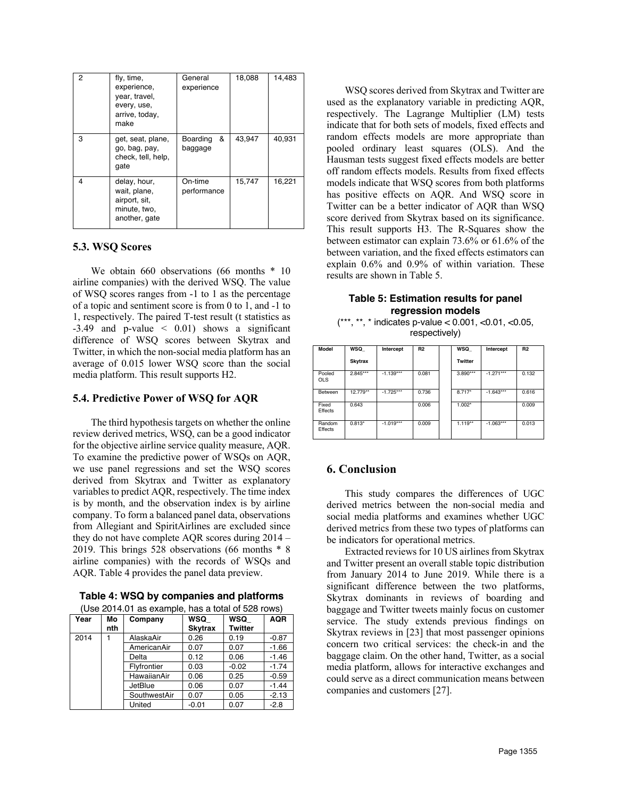| 2 | fly, time,<br>experience,<br>year, travel,<br>every, use,<br>arrive, today,<br>make | General<br>experience    | 18,088 | 14,483 |
|---|-------------------------------------------------------------------------------------|--------------------------|--------|--------|
| 3 | get, seat, plane,<br>go, bag, pay,<br>check, tell, help,<br>qate                    | &<br>Boarding<br>baggage | 43.947 | 40,931 |
| 4 | delay, hour,<br>wait, plane,<br>airport, sit,<br>minute, two,<br>another, gate      | On-time<br>performance   | 15,747 | 16,221 |

## **5.3. WSQ Scores**

We obtain 660 observations (66 months  $*$  10 airline companies) with the derived WSQ. The value of WSQ scores ranges from -1 to 1 as the percentage of a topic and sentiment score is from 0 to 1, and -1 to 1, respectively. The paired T-test result (t statistics as  $-3.49$  and p-value  $\leq 0.01$ ) shows a significant difference of WSQ scores between Skytrax and Twitter, in which the non-social media platform has an average of 0.015 lower WSQ score than the social media platform. This result supports H2.

#### **5.4. Predictive Power of WSQ for AQR**

The third hypothesis targets on whether the online review derived metrics, WSQ, can be a good indicator for the objective airline service quality measure, AQR. To examine the predictive power of WSQs on AQR, we use panel regressions and set the WSQ scores derived from Skytrax and Twitter as explanatory variables to predict AQR, respectively. The time index is by month, and the observation index is by airline company. To form a balanced panel data, observations from Allegiant and SpiritAirlines are excluded since they do not have complete AQR scores during 2014 – 2019. This brings 528 observations (66 months \* 8 airline companies) with the records of WSQs and AQR. Table 4 provides the panel data preview.

| Table 4: WSQ by companies and platforms |  |  |  |  |  |
|-----------------------------------------|--|--|--|--|--|
|-----------------------------------------|--|--|--|--|--|

| (Use 2014.01 as example, has a total of 528 rows) |  |
|---------------------------------------------------|--|
|---------------------------------------------------|--|

| Year | Mo<br>nth | Company      | WSQ<br><b>Skytrax</b> | WSQ<br><b>Twitter</b> | <b>AQR</b> |
|------|-----------|--------------|-----------------------|-----------------------|------------|
| 2014 |           | AlaskaAir    | 0.26                  | 0.19                  | $-0.87$    |
|      |           | AmericanAir  | 0.07                  | 0.07                  | $-1.66$    |
|      |           | Delta        | 0.12                  | 0.06                  | $-1.46$    |
|      |           | Flyfrontier  | 0.03                  | $-0.02$               | $-1.74$    |
|      |           | HawaiianAir  | 0.06                  | 0.25                  | $-0.59$    |
|      |           | JetBlue      | 0.06                  | 0.07                  | $-1.44$    |
|      |           | SouthwestAir | 0.07                  | 0.05                  | $-2.13$    |
|      |           | United       | $-0.01$               | 0.07                  | $-2.8$     |

WSQ scores derived from Skytrax and Twitter are used as the explanatory variable in predicting AQR, respectively. The Lagrange Multiplier (LM) tests indicate that for both sets of models, fixed effects and random effects models are more appropriate than pooled ordinary least squares (OLS). And the Hausman tests suggest fixed effects models are better off random effects models. Results from fixed effects models indicate that WSQ scores from both platforms has positive effects on AQR. And WSQ score in Twitter can be a better indicator of AQR than WSQ score derived from Skytrax based on its significance. This result supports H3. The R-Squares show the between estimator can explain 73.6% or 61.6% of the between variation, and the fixed effects estimators can explain 0.6% and 0.9% of within variation. These results are shown in Table 5.

#### **Table 5: Estimation results for panel regression models**

 $(***, **, * indicates p-value < 0.001, <0.01, <0.05,$ respectively)

| Model                | WSQ            | Intercept   | <b>R2</b> | WSQ            | Intercept   | <b>R2</b> |
|----------------------|----------------|-------------|-----------|----------------|-------------|-----------|
|                      | <b>Skytrax</b> |             |           | <b>Twitter</b> |             |           |
| Pooled<br><b>OLS</b> | $2.845***$     | $-1.139***$ | 0.081     | 3.890***       | $-1.271***$ | 0.132     |
| Between              | 12.779**       | $-1.725***$ | 0.736     | 8.717*         | $-1.643***$ | 0.616     |
| Fixed<br>Effects     | 0.643          |             | 0.006     | $1.002*$       |             | 0.009     |
| Random<br>Effects    | $0.813*$       | $-1.019***$ | 0.009     | $1.119**$      | $-1.063***$ | 0.013     |

## **6. Conclusion**

This study compares the differences of UGC derived metrics between the non-social media and social media platforms and examines whether UGC derived metrics from these two types of platforms can be indicators for operational metrics.

Extracted reviews for 10 US airlines from Skytrax and Twitter present an overall stable topic distribution from January 2014 to June 2019. While there is a significant difference between the two platforms, Skytrax dominants in reviews of boarding and baggage and Twitter tweets mainly focus on customer service. The study extends previous findings on Skytrax reviews in [23] that most passenger opinions concern two critical services: the check-in and the baggage claim. On the other hand, Twitter, as a social media platform, allows for interactive exchanges and could serve as a direct communication means between companies and customers [27].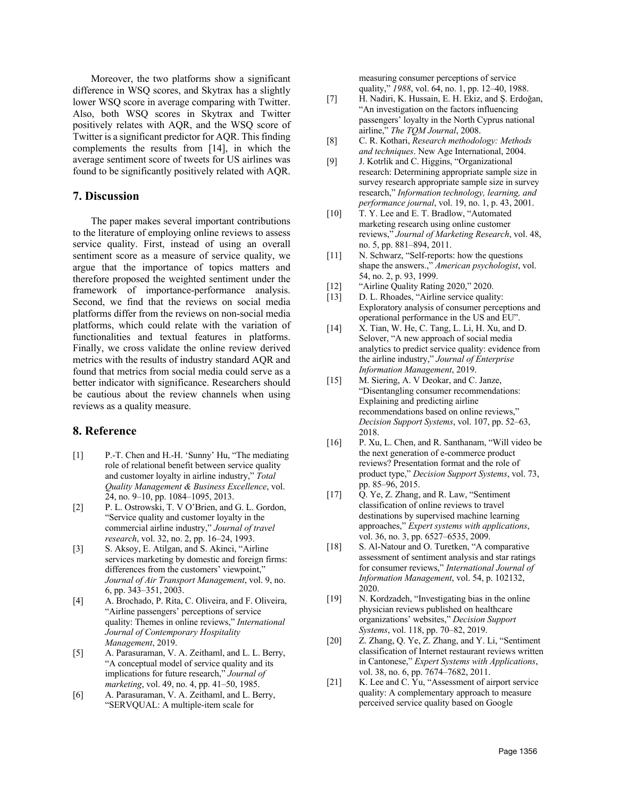Moreover, the two platforms show a significant difference in WSQ scores, and Skytrax has a slightly lower WSQ score in average comparing with Twitter. Also, both WSQ scores in Skytrax and Twitter positively relates with AQR, and the WSQ score of Twitter is a significant predictor for AQR. This finding complements the results from [14], in which the average sentiment score of tweets for US airlines was found to be significantly positively related with AQR.

#### **7. Discussion**

The paper makes several important contributions to the literature of employing online reviews to assess service quality. First, instead of using an overall sentiment score as a measure of service quality, we argue that the importance of topics matters and therefore proposed the weighted sentiment under the framework of importance-performance analysis. Second, we find that the reviews on social media platforms differ from the reviews on non-social media platforms, which could relate with the variation of functionalities and textual features in platforms. Finally, we cross validate the online review derived metrics with the results of industry standard AQR and found that metrics from social media could serve as a better indicator with significance. Researchers should be cautious about the review channels when using reviews as a quality measure.

## **8. Reference**

- [1] P.-T. Chen and H.-H. 'Sunny' Hu, "The mediating role of relational benefit between service quality and customer loyalty in airline industry," *Total Quality Management & Business Excellence*, vol. 24, no. 9–10, pp. 1084–1095, 2013.
- [2] P. L. Ostrowski, T. V O'Brien, and G. L. Gordon, "Service quality and customer loyalty in the commercial airline industry," *Journal of travel research*, vol. 32, no. 2, pp. 16–24, 1993.
- [3] S. Aksoy, E. Atilgan, and S. Akinci, "Airline services marketing by domestic and foreign firms: differences from the customers' viewpoint," *Journal of Air Transport Management*, vol. 9, no. 6, pp. 343–351, 2003.
- [4] A. Brochado, P. Rita, C. Oliveira, and F. Oliveira, "Airline passengers' perceptions of service quality: Themes in online reviews," *International Journal of Contemporary Hospitality Management*, 2019.
- [5] A. Parasuraman, V. A. Zeithaml, and L. L. Berry, "A conceptual model of service quality and its implications for future research," *Journal of marketing*, vol. 49, no. 4, pp. 41–50, 1985.
- [6] A. Parasuraman, V. A. Zeithaml, and L. Berry, "SERVQUAL: A multiple-item scale for

measuring consumer perceptions of service quality," *1988*, vol. 64, no. 1, pp. 12–40, 1988.

- [7] H. Nadiri, K. Hussain, E. H. Ekiz, and Ş. Erdoğan, "An investigation on the factors influencing passengers' loyalty in the North Cyprus national airline," *The TQM Journal*, 2008.
- [8] C. R. Kothari, *Research methodology: Methods and techniques*. New Age International, 2004.
- [9] J. Kotrlik and C. Higgins, "Organizational research: Determining appropriate sample size in survey research appropriate sample size in survey research," *Information technology, learning, and performance journal*, vol. 19, no. 1, p. 43, 2001.
- [10] T. Y. Lee and E. T. Bradlow, "Automated marketing research using online customer reviews," *Journal of Marketing Research*, vol. 48, no. 5, pp. 881–894, 2011.
- [11] N. Schwarz, "Self-reports: how the questions shape the answers.," *American psychologist*, vol. 54, no. 2, p. 93, 1999.
- [12] "Airline Quality Rating 2020," 2020.
- [13] D. L. Rhoades, "Airline service quality: Exploratory analysis of consumer perceptions and operational performance in the US and EU".
- [14] X. Tian, W. He, C. Tang, L. Li, H. Xu, and D. Selover, "A new approach of social media analytics to predict service quality: evidence from the airline industry," *Journal of Enterprise Information Management*, 2019.
- [15] M. Siering, A. V Deokar, and C. Janze, "Disentangling consumer recommendations: Explaining and predicting airline recommendations based on online reviews," *Decision Support Systems*, vol. 107, pp. 52–63, 2018.
- [16] P. Xu, L. Chen, and R. Santhanam, "Will video be the next generation of e-commerce product reviews? Presentation format and the role of product type," *Decision Support Systems*, vol. 73, pp. 85–96, 2015.
- [17] Q. Ye, Z. Zhang, and R. Law, "Sentiment classification of online reviews to travel destinations by supervised machine learning approaches," *Expert systems with applications*, vol. 36, no. 3, pp. 6527–6535, 2009.
- [18] S. Al-Natour and O. Turetken, "A comparative assessment of sentiment analysis and star ratings for consumer reviews," *International Journal of Information Management*, vol. 54, p. 102132, 2020.
- [19] N. Kordzadeh, "Investigating bias in the online" physician reviews published on healthcare organizations' websites," *Decision Support Systems*, vol. 118, pp. 70–82, 2019.
- [20] Z. Zhang, Q. Ye, Z. Zhang, and Y. Li, "Sentiment" classification of Internet restaurant reviews written in Cantonese," *Expert Systems with Applications*, vol. 38, no. 6, pp. 7674–7682, 2011.
- [21] K. Lee and C. Yu, "Assessment of airport service quality: A complementary approach to measure perceived service quality based on Google